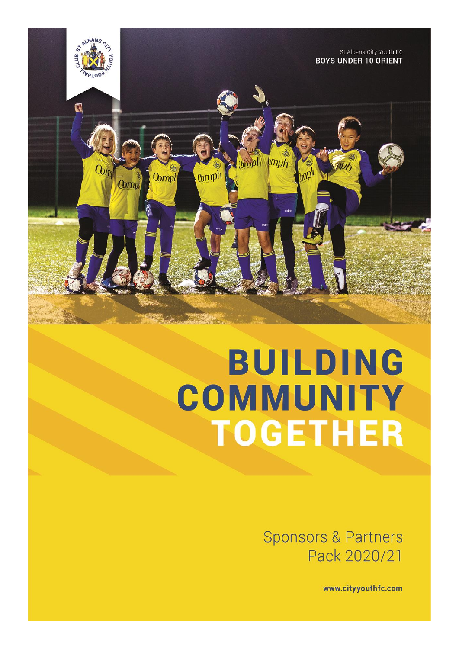

# **BUILDING** COMMUNITY **TOGETHER**

**Sponsors & Partners** Pack 2020/21

www.cityyouthfc.com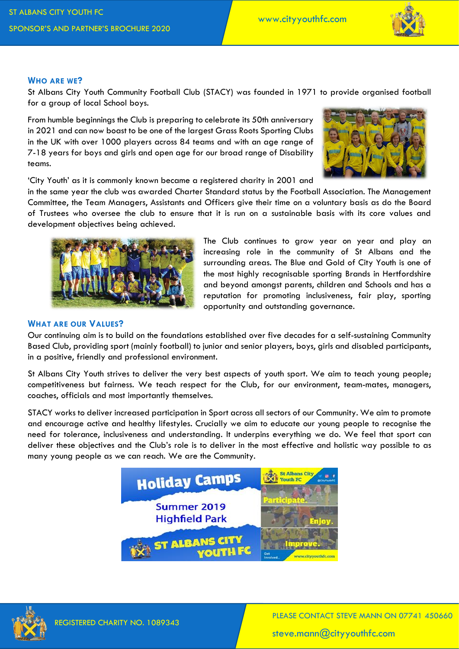

## **WHO ARE WE?**

St Albans City Youth Community Football Club (STACY) was founded in 1971 to provide organised football for a group of local School boys.

From humble beginnings the Club is preparing to celebrate its 50th anniversary in 2021 and can now boast to be one of the largest Grass Roots Sporting Clubs in the UK with over 1000 players across 84 teams and with an age range of 7-18 years for boys and girls and open age for our broad range of Disability teams.



'City Youth' as it is commonly known became a registered charity in 2001 and

in the same year the club was awarded Charter Standard status by the Football Association. The Management Committee, the Team Managers, Assistants and Officers give their time on a voluntary basis as do the Board of Trustees who oversee the club to ensure that it is run on a sustainable basis with its core values and development objectives being achieved.



The Club continues to grow year on year and play an increasing role in the community of St Albans and the surrounding areas. The Blue and Gold of City Youth is one of the most highly recognisable sporting Brands in Hertfordshire and beyond amongst parents, children and Schools and has a reputation for promoting inclusiveness, fair play, sporting opportunity and outstanding governance.

#### **WHAT ARE OUR VALUES?**

Our continuing aim is to build on the foundations established over five decades for a self-sustaining Community Based Club, providing sport (mainly football) to junior and senior players, boys, girls and disabled participants, in a positive, friendly and professional environment.

St Albans City Youth strives to deliver the very best aspects of youth sport. We aim to teach young people; competitiveness but fairness. We teach respect for the Club, for our environment, team-mates, managers, coaches, officials and most importantly themselves.

STACY works to deliver increased participation in Sport across all sectors of our Community. We aim to promote and encourage active and healthy lifestyles. Crucially we aim to educate our young people to recognise the need for tolerance, inclusiveness and understanding. It underpins everything we do. We feel that sport can deliver these objectives and the Club's role is to deliver in the most effective and holistic way possible to as many young people as we can reach. We are the Community.





PLEASE CONTACT STEVE MANN ON 07741 450660 steve.mann@cityyouthfc.com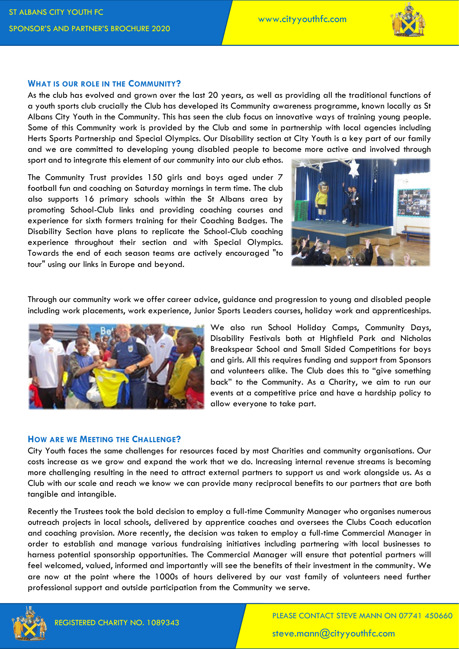

## **WHAT IS OUR ROLE IN THE COMMUNITY?**

As the club has evolved and grown over the last 20 years, as well as providing all the traditional functions of a youth sports club crucially the Club has developed its Community awareness programme, known locally as St Albans City Youth in the Community. This has seen the club focus on innovative ways of training young people. Some of this Community work is provided by the Club and some in partnership with local agencies including Herts Sports Partnership and Special Olympics. Our Disability section at City Youth is a key part of our family and we are committed to developing young disabled people to become more active and involved through sport and to integrate this element of our community into our club ethos.

The Community Trust provides 150 girls and boys aged under 7 football fun and coaching on Saturday mornings in term time. The club also supports 16 primary schools within the St Albans area by promoting School-Club links and providing coaching courses and experience for sixth formers training for their Coaching Badges. The Disability Section have plans to replicate the School-Club coaching experience throughout their section and with Special Olympics. Towards the end of each season teams are actively encouraged "to tour" using our links in Europe and beyond.



Through our community work we offer career advice, guidance and progression to young and disabled people including work placements, work experience, Junior Sports Leaders courses, holiday work and apprenticeships.



We also run School Holiday Camps, Community Days, Disability Festivals both at Highfield Park and Nicholas Breakspear School and Small Sided Competitions for boys and girls. All this requires funding and support from Sponsors and volunteers alike. The Club does this to "give something back" to the Community. As a Charity, we aim to run our events at a competitive price and have a hardship policy to allow everyone to take part.

## **HOW ARE WE MEETING THE CHALLENGE?**

City Youth faces the same challenges for resources faced by most Charities and community organisations. Our costs increase as we grow and expand the work that we do. Increasing internal revenue streams is becoming more challenging resulting in the need to attract external partners to support us and work alongside us. As a Club with our scale and reach we know we can provide many reciprocal benefits to our partners that are both tangible and intangible.

Recently the Trustees took the bold decision to employ a full-time Community Manager who organises numerous outreach projects in local schools, delivered by apprentice coaches and oversees the Clubs Coach education and coaching provision. More recently, the decision was taken to employ a full-time Commercial Manager in order to establish and manage various fundraising initiatives including partnering with local businesses to harness potential sponsorship opportunities. The Commercial Manager will ensure that potential partners will feel welcomed, valued, informed and importantly will see the benefits of their investment in the community. We are now at the point where the 1000s of hours delivered by our vast family of volunteers need further professional support and outside participation from the Community we serve.



steve.mann@cityyouthfc.com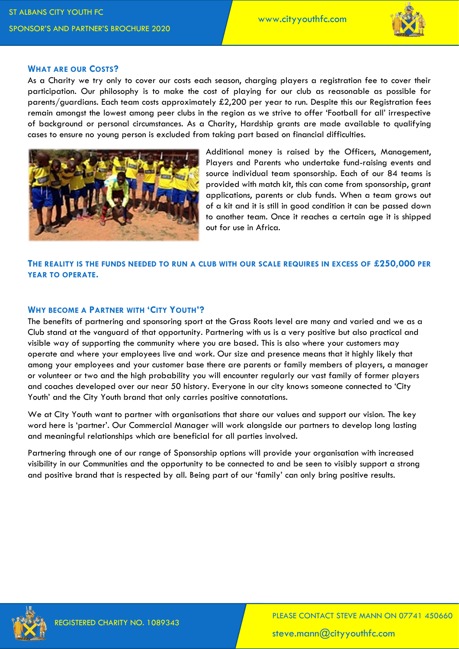

#### **WHAT ARE OUR COSTS?**

As a Charity we try only to cover our costs each season, charging players a registration fee to cover their participation. Our philosophy is to make the cost of playing for our club as reasonable as possible for parents/guardians. Each team costs approximately £2,200 per year to run. Despite this our Registration fees remain amongst the lowest among peer clubs in the region as we strive to offer 'Football for all' irrespective of background or personal circumstances. As a Charity, Hardship grants are made available to qualifying cases to ensure no young person is excluded from taking part based on financial difficulties.



Additional money is raised by the Officers, Management, Players and Parents who undertake fund-raising events and source individual team sponsorship. Each of our 84 teams is provided with match kit, this can come from sponsorship, grant applications, parents or club funds. When a team grows out of a kit and it is still in good condition it can be passed down to another team. Once it reaches a certain age it is shipped out for use in Africa.

**THE REALITY IS THE FUNDS NEEDED TO RUN A CLUB WITH OUR SCALE REQUIRES IN EXCESS OF £250,000 PER YEAR TO OPERATE.**

## **WHY BECOME A PARTNER WITH 'CITY YOUTH'?**

The benefits of partnering and sponsoring sport at the Grass Roots level are many and varied and we as a Club stand at the vanguard of that opportunity. Partnering with us is a very positive but also practical and visible way of supporting the community where you are based. This is also where your customers may operate and where your employees live and work. Our size and presence means that it highly likely that among your employees and your customer base there are parents or family members of players, a manager or volunteer or two and the high probability you will encounter regularly our vast family of former players and coaches developed over our near 50 history. Everyone in our city knows someone connected to 'City Youth' and the City Youth brand that only carries positive connotations.

We at City Youth want to partner with organisations that share our values and support our vision. The key word here is 'partner'. Our Commercial Manager will work alongside our partners to develop long lasting and meaningful relationships which are beneficial for all parties involved.

Partnering through one of our range of Sponsorship options will provide your organisation with increased visibility in our Communities and the opportunity to be connected to and be seen to visibly support a strong and positive brand that is respected by all. Being part of our 'family' can only bring positive results.

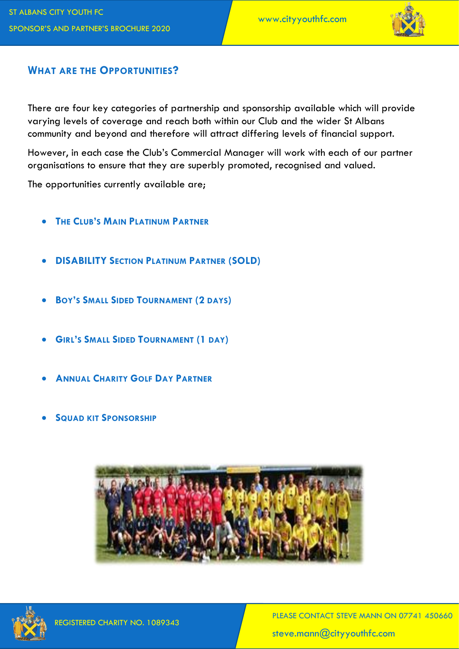

## **WHAT ARE THE OPPORTUNITIES?**

There are four key categories of partnership and sponsorship available which will provide varying levels of coverage and reach both within our Club and the wider St Albans community and beyond and therefore will attract differing levels of financial support.

However, in each case the Club's Commercial Manager will work with each of our partner organisations to ensure that they are superbly promoted, recognised and valued.

The opportunities currently available are;

- **THE CLUB'S MAIN PLATINUM PARTNER**
- **DISABILITY SECTION PLATINUM PARTNER (SOLD)**
- **BOY'S SMALL SIDED TOURNAMENT (2 DAYS)**
- **GIRL'S SMALL SIDED TOURNAMENT (1 DAY)**
- **ANNUAL CHARITY GOLF DAY PARTNER**
- **SQUAD KIT SPONSORSHIP**



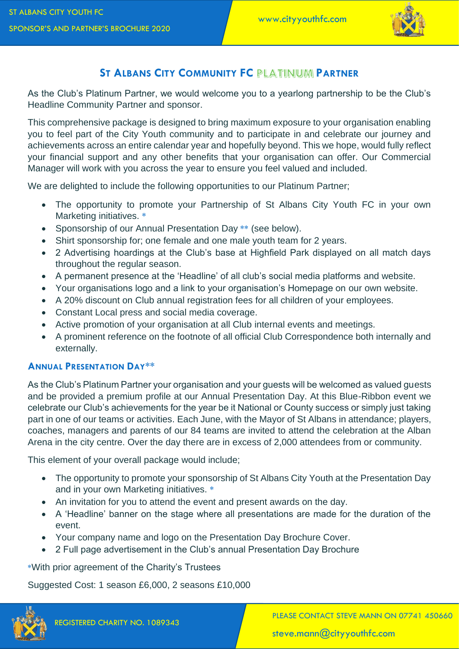

# **ST ALBANS CITY COMMUNITY FC PARTNER**

As the Club's Platinum Partner, we would welcome you to a yearlong partnership to be the Club's Headline Community Partner and sponsor.

This comprehensive package is designed to bring maximum exposure to your organisation enabling you to feel part of the City Youth community and to participate in and celebrate our journey and achievements across an entire calendar year and hopefully beyond. This we hope, would fully reflect your financial support and any other benefits that your organisation can offer. Our Commercial Manager will work with you across the year to ensure you feel valued and included.

We are delighted to include the following opportunities to our Platinum Partner;

- The opportunity to promote your Partnership of St Albans City Youth FC in your own Marketing initiatives. **\***
- Sponsorship of our Annual Presentation Day **\*\*** (see below).
- Shirt sponsorship for; one female and one male youth team for 2 years.
- 2 Advertising hoardings at the Club's base at Highfield Park displayed on all match days throughout the regular season.
- A permanent presence at the 'Headline' of all club's social media platforms and website.
- Your organisations logo and a link to your organisation's Homepage on our own website.
- A 20% discount on Club annual registration fees for all children of your employees.
- Constant Local press and social media coverage.
- Active promotion of your organisation at all Club internal events and meetings.
- A prominent reference on the footnote of all official Club Correspondence both internally and externally.

## **ANNUAL PRESENTATION DAY\*\***

As the Club's Platinum Partner your organisation and your guests will be welcomed as valued guests and be provided a premium profile at our Annual Presentation Day. At this Blue-Ribbon event we celebrate our Club's achievements for the year be it National or County success or simply just taking part in one of our teams or activities. Each June, with the Mayor of St Albans in attendance; players, coaches, managers and parents of our 84 teams are invited to attend the celebration at the Alban Arena in the city centre. Over the day there are in excess of 2,000 attendees from or community.

This element of your overall package would include;

- The opportunity to promote your sponsorship of St Albans City Youth at the Presentation Day and in your own Marketing initiatives. **\***
- An invitation for you to attend the event and present awards on the day.
- A 'Headline' banner on the stage where all presentations are made for the duration of the event.
- Your company name and logo on the Presentation Day Brochure Cover.
- 2 Full page advertisement in the Club's annual Presentation Day Brochure

**\***With prior agreement of the Charity's Trustees

Suggested Cost: 1 season £6,000, 2 seasons £10,000



PLEASE CONTACT STEVE MANN ON 07741 450660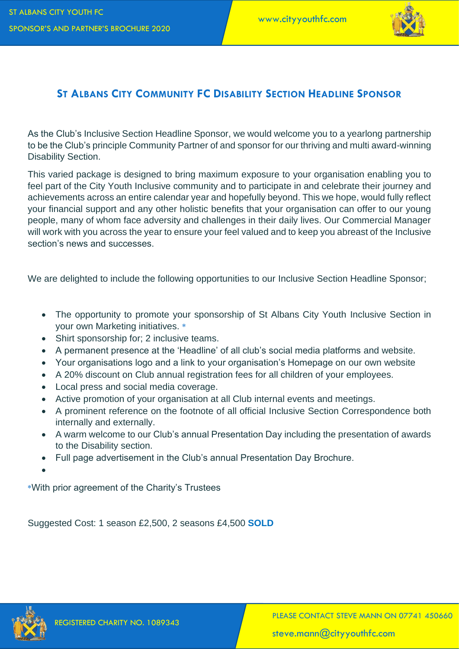

## **ST ALBANS CITY COMMUNITY FC DISABILITY SECTION HEADLINE SPONSOR**

As the Club's Inclusive Section Headline Sponsor, we would welcome you to a yearlong partnership to be the Club's principle Community Partner of and sponsor for our thriving and multi award-winning Disability Section.

This varied package is designed to bring maximum exposure to your organisation enabling you to feel part of the City Youth Inclusive community and to participate in and celebrate their journey and achievements across an entire calendar year and hopefully beyond. This we hope, would fully reflect your financial support and any other holistic benefits that your organisation can offer to our young people, many of whom face adversity and challenges in their daily lives. Our Commercial Manager will work with you across the year to ensure your feel valued and to keep you abreast of the Inclusive section's news and successes.

We are delighted to include the following opportunities to our Inclusive Section Headline Sponsor;

- The opportunity to promote your sponsorship of St Albans City Youth Inclusive Section in your own Marketing initiatives. **\***
- Shirt sponsorship for; 2 inclusive teams.
- A permanent presence at the 'Headline' of all club's social media platforms and website.
- Your organisations logo and a link to your organisation's Homepage on our own website
- A 20% discount on Club annual registration fees for all children of your employees.
- Local press and social media coverage.
- Active promotion of your organisation at all Club internal events and meetings.
- A prominent reference on the footnote of all official Inclusive Section Correspondence both internally and externally.
- A warm welcome to our Club's annual Presentation Day including the presentation of awards to the Disability section.
- Full page advertisement in the Club's annual Presentation Day Brochure.
- •

**\***With prior agreement of the Charity's Trustees

Suggested Cost: 1 season £2,500, 2 seasons £4,500 **SOLD**

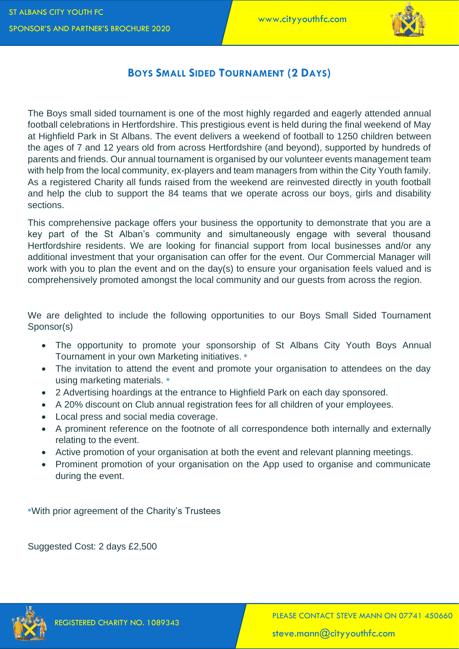

## **BOYS SMALL SIDED TOURNAMENT (2 DAYS)**

The Boys small sided tournament is one of the most highly regarded and eagerly attended annual football celebrations in Hertfordshire. This prestigious event is held during the final weekend of May at Highfield Park in St Albans. The event delivers a weekend of football to 1250 children between the ages of 7 and 12 years old from across Hertfordshire (and beyond), supported by hundreds of parents and friends. Our annual tournament is organised by our volunteer events management team with help from the local community, ex-players and team managers from within the City Youth family. As a registered Charity all funds raised from the weekend are reinvested directly in youth football and help the club to support the 84 teams that we operate across our boys, girls and disability sections.

This comprehensive package offers your business the opportunity to demonstrate that you are a key part of the St Alban's community and simultaneously engage with several thousand Hertfordshire residents. We are looking for financial support from local businesses and/or any additional investment that your organisation can offer for the event. Our Commercial Manager will work with you to plan the event and on the day(s) to ensure your organisation feels valued and is comprehensively promoted amongst the local community and our guests from across the region.

We are delighted to include the following opportunities to our Boys Small Sided Tournament Sponsor(s)

- The opportunity to promote your sponsorship of St Albans City Youth Boys Annual Tournament in your own Marketing initiatives. **\***
- The invitation to attend the event and promote your organisation to attendees on the day using marketing materials. **\***
- 2 Advertising hoardings at the entrance to Highfield Park on each day sponsored.
- A 20% discount on Club annual registration fees for all children of your employees.
- Local press and social media coverage.
- A prominent reference on the footnote of all correspondence both internally and externally relating to the event.
- Active promotion of your organisation at both the event and relevant planning meetings.
- Prominent promotion of your organisation on the App used to organise and communicate during the event.

**\***With prior agreement of the Charity's Trustees

Suggested Cost: 2 days £2,500

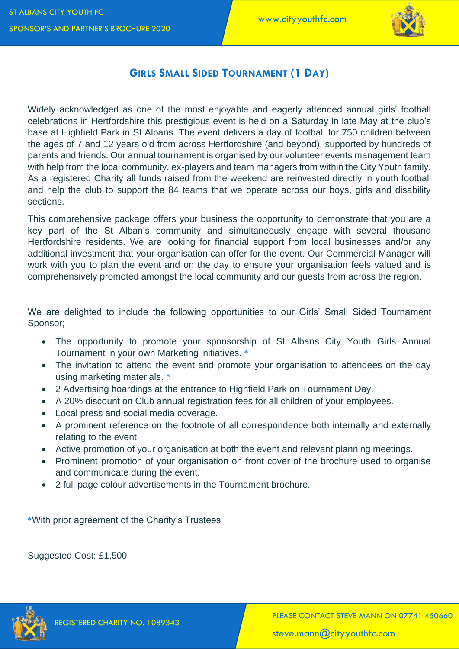

## **GIRLS SMALL SIDED TOURNAMENT (1 DAY)**

Widely acknowledged as one of the most enjoyable and eagerly attended annual girls' football celebrations in Hertfordshire this prestigious event is held on a Saturday in late May at the club's base at Highfield Park in St Albans. The event delivers a day of football for 750 children between the ages of 7 and 12 years old from across Hertfordshire (and beyond), supported by hundreds of parents and friends. Our annual tournament is organised by our volunteer events management team with help from the local community, ex-players and team managers from within the City Youth family. As a registered Charity all funds raised from the weekend are reinvested directly in youth football and help the club to support the 84 teams that we operate across our boys, girls and disability sections.

This comprehensive package offers your business the opportunity to demonstrate that you are a key part of the St Alban's community and simultaneously engage with several thousand Hertfordshire residents. We are looking for financial support from local businesses and/or any additional investment that your organisation can offer for the event. Our Commercial Manager will work with you to plan the event and on the day to ensure your organisation feels valued and is comprehensively promoted amongst the local community and our guests from across the region.

We are delighted to include the following opportunities to our Girls' Small Sided Tournament Sponsor;

- The opportunity to promote your sponsorship of St Albans City Youth Girls Annual Tournament in your own Marketing initiatives. **\***
- The invitation to attend the event and promote your organisation to attendees on the day using marketing materials. **\***
- 2 Advertising hoardings at the entrance to Highfield Park on Tournament Day.
- A 20% discount on Club annual registration fees for all children of your employees.
- Local press and social media coverage.
- A prominent reference on the footnote of all correspondence both internally and externally relating to the event.
- Active promotion of your organisation at both the event and relevant planning meetings.
- Prominent promotion of your organisation on front cover of the brochure used to organise and communicate during the event.
- 2 full page colour advertisements in the Tournament brochure.

**\***With prior agreement of the Charity's Trustees

Suggested Cost: £1,500

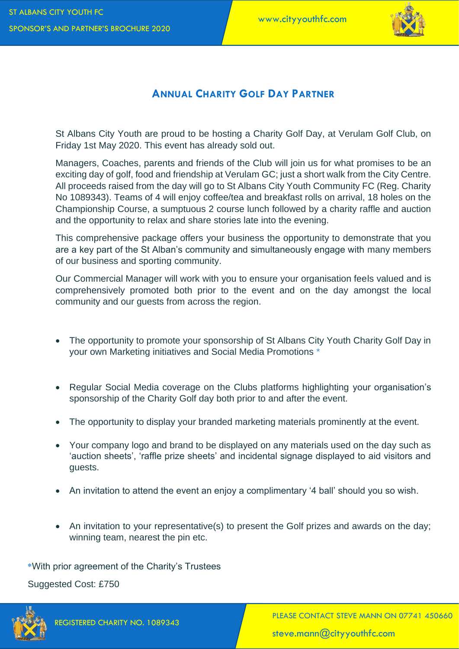

## **ANNUAL CHARITY GOLF DAY PARTNER**

St Albans City Youth are proud to be hosting a Charity Golf Day, at Verulam Golf Club, on Friday 1st May 2020. This event has already sold out.

Managers, Coaches, parents and friends of the Club will join us for what promises to be an exciting day of golf, food and friendship at Verulam GC; just a short walk from the City Centre. All proceeds raised from the day will go to St Albans City Youth Community FC (Reg. Charity No 1089343). Teams of 4 will enjoy coffee/tea and breakfast rolls on arrival, 18 holes on the Championship Course, a sumptuous 2 course lunch followed by a charity raffle and auction and the opportunity to relax and share stories late into the evening.

This comprehensive package offers your business the opportunity to demonstrate that you are a key part of the St Alban's community and simultaneously engage with many members of our business and sporting community.

Our Commercial Manager will work with you to ensure your organisation feels valued and is comprehensively promoted both prior to the event and on the day amongst the local community and our guests from across the region.

- The opportunity to promote your sponsorship of St Albans City Youth Charity Golf Day in your own Marketing initiatives and Social Media Promotions \*
- Regular Social Media coverage on the Clubs platforms highlighting your organisation's sponsorship of the Charity Golf day both prior to and after the event.
- The opportunity to display your branded marketing materials prominently at the event.
- Your company logo and brand to be displayed on any materials used on the day such as 'auction sheets', 'raffle prize sheets' and incidental signage displayed to aid visitors and guests.
- An invitation to attend the event an enjoy a complimentary '4 ball' should you so wish.
- An invitation to your representative(s) to present the Golf prizes and awards on the day; winning team, nearest the pin etc.

**\***With prior agreement of the Charity's Trustees

Suggested Cost: £750

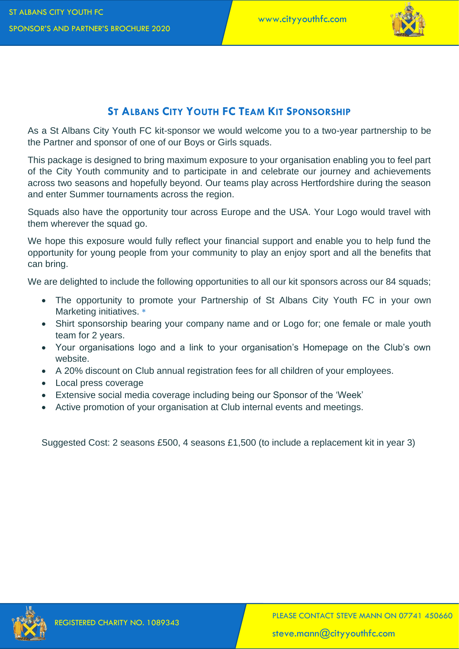

# **ST ALBANS CITY YOUTH FC TEAM KIT SPONSORSHIP**

As a St Albans City Youth FC kit-sponsor we would welcome you to a two-year partnership to be the Partner and sponsor of one of our Boys or Girls squads.

This package is designed to bring maximum exposure to your organisation enabling you to feel part of the City Youth community and to participate in and celebrate our journey and achievements across two seasons and hopefully beyond. Our teams play across Hertfordshire during the season and enter Summer tournaments across the region.

Squads also have the opportunity tour across Europe and the USA. Your Logo would travel with them wherever the squad go.

We hope this exposure would fully reflect your financial support and enable you to help fund the opportunity for young people from your community to play an enjoy sport and all the benefits that can bring.

We are delighted to include the following opportunities to all our kit sponsors across our 84 squads;

- The opportunity to promote your Partnership of St Albans City Youth FC in your own Marketing initiatives. **\***
- Shirt sponsorship bearing your company name and or Logo for; one female or male youth team for 2 years.
- Your organisations logo and a link to your organisation's Homepage on the Club's own website.
- A 20% discount on Club annual registration fees for all children of your employees.
- Local press coverage
- Extensive social media coverage including being our Sponsor of the 'Week'
- Active promotion of your organisation at Club internal events and meetings.

Suggested Cost: 2 seasons £500, 4 seasons £1,500 (to include a replacement kit in year 3)

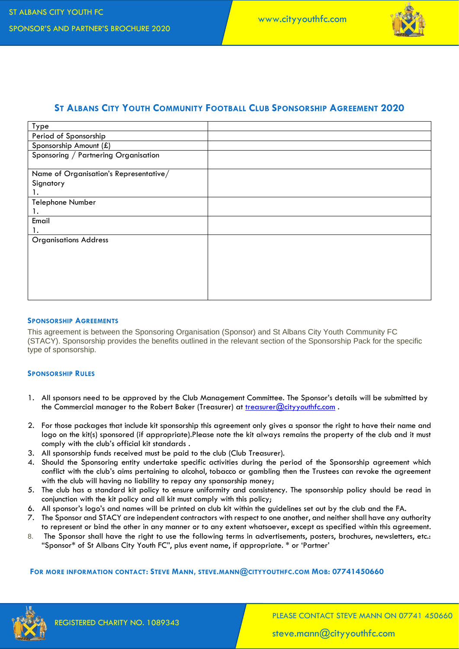

## **ST ALBANS CITY YOUTH COMMUNITY FOOTBALL CLUB SPONSORSHIP AGREEMENT 2020**

| Type                                   |  |
|----------------------------------------|--|
| Period of Sponsorship                  |  |
| Sponsorship Amount (£)                 |  |
| Sponsoring / Partnering Organisation   |  |
|                                        |  |
| Name of Organisation's Representative/ |  |
| Signatory                              |  |
| ۱.                                     |  |
| Telephone Number                       |  |
| 1.                                     |  |
| Email                                  |  |
| 1.                                     |  |
| <b>Organisations Address</b>           |  |
|                                        |  |
|                                        |  |
|                                        |  |
|                                        |  |
|                                        |  |
|                                        |  |

#### **SPONSORSHIP AGREEMENTS**

This agreement is between the Sponsoring Organisation (Sponsor) and St Albans City Youth Community FC (STACY). Sponsorship provides the benefits outlined in the relevant section of the Sponsorship Pack for the specific type of sponsorship.

#### **SPONSORSHIP RULES**

- 1. All sponsors need to be approved by the Club Management Committee. The Sponsor's details will be submitted by the Commercial manager to the Robert Baker (Treasurer) at [treasurer@cityyouthfc.com](mailto:treasurer@cityyouthfc.com) .
- 2. For those packages that include kit sponsorship this agreement only gives a sponsor the right to have their name and logo on the kit(s) sponsored (if appropriate).Please note the kit always remains the property of the club and it must comply with the club's official kit standards .
- 3. All sponsorship funds received must be paid to the club (Club Treasurer).
- 4. Should the Sponsoring entity undertake specific activities during the period of the Sponsorship agreement which conflict with the club's aims pertaining to alcohol, tobacco or gambling then the Trustees can revoke the agreement with the club will having no liability to repay any sponsorship money;
- 5. The club has a standard kit policy to ensure uniformity and consistency. The sponsorship policy should be read in conjunction with the kit policy and all kit must comply with this policy;
- 6. All sponsor's logo's and names will be printed on club kit within the guidelines set out by the club and the FA.
- 7. The Sponsor and STACY are independent contractors with respect to one another, and neither shall have any authority to represent or bind the other in any manner or to any extent whatsoever, except as specified within this agreement.
- 8. The Sponsor shall have the right to use the following terms in advertisements, posters, brochures, newsletters, etc.: "Sponsor\* of St Albans City Youth FC", plus event name, if appropriate. \* or 'Partner'

#### **FOR MORE INFORMATION CONTACT: STEVE MANN, STEVE.MANN@CITYYOUTHFC.COM MOB: 07741450660**